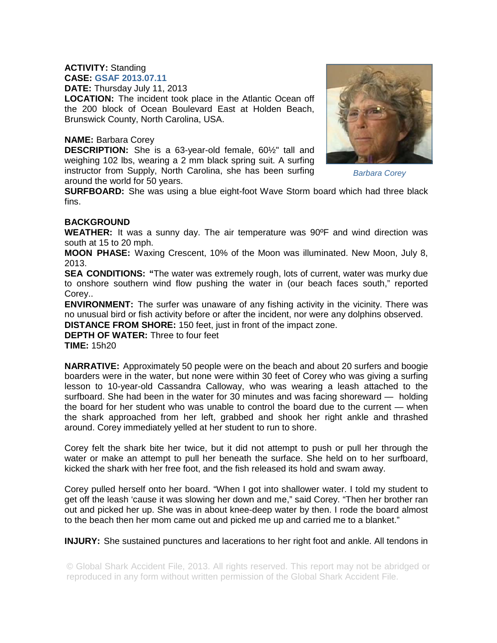## **ACTIVITY:** Standing

**CASE: GSAF 2013.07.11 DATE:** Thursday July 11, 2013

**LOCATION:** The incident took place in the Atlantic Ocean off the 200 block of Ocean Boulevard East at Holden Beach, Brunswick County, North Carolina, USA.

## **NAME:** Barbara Corey

**DESCRIPTION:** She is a 63-year-old female, 60½" tall and weighing 102 lbs, wearing a 2 mm black spring suit. A surfing instructor from Supply, North Carolina, she has been surfing around the world for 50 years.



*Barbara Corey* 

**SURFBOARD:** She was using a blue eight-foot Wave Storm board which had three black fins.

## **BACKGROUND**

**WEATHER:** It was a sunny day. The air temperature was 90ºF and wind direction was south at 15 to 20 mph.

**MOON PHASE:** Waxing Crescent, 10% of the Moon was illuminated. New Moon, July 8, 2013.

**SEA CONDITIONS: "**The water was extremely rough, lots of current, water was murky due to onshore southern wind flow pushing the water in (our beach faces south," reported Corey..

**ENVIRONMENT:** The surfer was unaware of any fishing activity in the vicinity. There was no unusual bird or fish activity before or after the incident, nor were any dolphins observed.

**DISTANCE FROM SHORE:** 150 feet, just in front of the impact zone.

**DEPTH OF WATER:** Three to four feet **TIME:** 15h20

**NARRATIVE:** Approximately 50 people were on the beach and about 20 surfers and boogie boarders were in the water, but none were within 30 feet of Corey who was giving a surfing lesson to 10-year-old Cassandra Calloway, who was wearing a leash attached to the surfboard. She had been in the water for 30 minutes and was facing shoreward — holding the board for her student who was unable to control the board due to the current — when the shark approached from her left, grabbed and shook her right ankle and thrashed around. Corey immediately yelled at her student to run to shore.

Corey felt the shark bite her twice, but it did not attempt to push or pull her through the water or make an attempt to pull her beneath the surface. She held on to her surfboard, kicked the shark with her free foot, and the fish released its hold and swam away.

Corey pulled herself onto her board. "When I got into shallower water. I told my student to get off the leash 'cause it was slowing her down and me," said Corey. "Then her brother ran out and picked her up. She was in about knee-deep water by then. I rode the board almost to the beach then her mom came out and picked me up and carried me to a blanket."

**INJURY:** She sustained punctures and lacerations to her right foot and ankle. All tendons in

© Global Shark Accident File, 2013. All rights reserved. This report may not be abridged or reproduced in any form without written permission of the Global Shark Accident File.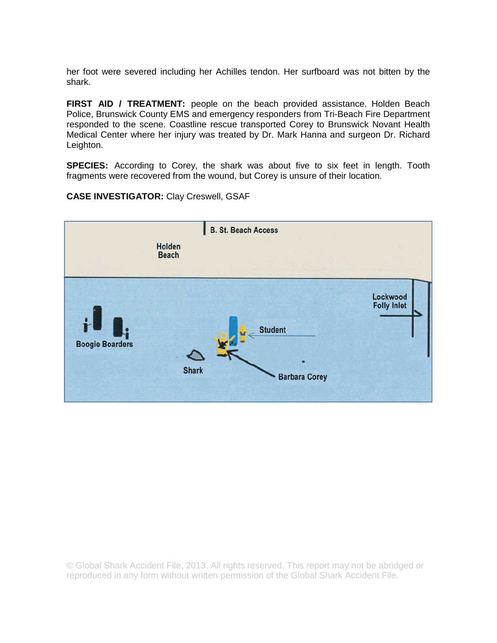her foot were severed including her Achilles tendon. Her surfboard was not bitten by the shark.

**FIRST AID / TREATMENT:** people on the beach provided assistance. Holden Beach Police, Brunswick County EMS and emergency responders from Tri-Beach Fire Department responded to the scene. Coastline rescue transported Corey to Brunswick Novant Health Medical Center where her injury was treated by Dr. Mark Hanna and surgeon Dr. Richard Leighton.

**SPECIES:** According to Corey, the shark was about five to six feet in length. Tooth fragments were recovered from the wound, but Corey is unsure of their location.

**CASE INVESTIGATOR:** Clay Creswell, GSAF



© Global Shark Accident File, 2013. All rights reserved. This report may not be abridged or reproduced in any form without written permission of the Global Shark Accident File.